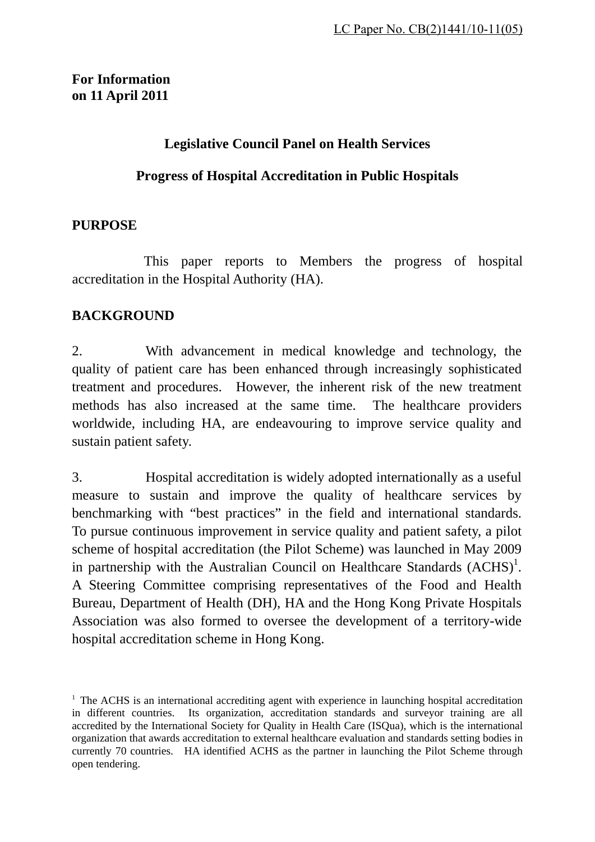# **For Information on 11 April 2011**

#### **Legislative Council Panel on Health Services**

#### **Progress of Hospital Accreditation in Public Hospitals**

#### **PURPOSE**

 This paper reports to Members the progress of hospital accreditation in the Hospital Authority (HA).

#### **BACKGROUND**

2. With advancement in medical knowledge and technology, the quality of patient care has been enhanced through increasingly sophisticated treatment and procedures. However, the inherent risk of the new treatment methods has also increased at the same time. The healthcare providers worldwide, including HA, are endeavouring to improve service quality and sustain patient safety.

3. Hospital accreditation is widely adopted internationally as a useful measure to sustain and improve the quality of healthcare services by benchmarking with "best practices" in the field and international standards. To pursue continuous improvement in service quality and patient safety, a pilot scheme of hospital accreditation (the Pilot Scheme) was launched in May 2009 in partnership with the Australian Council on Healthcare Standards  $(ACHS)^1$ . A Steering Committee comprising representatives of the Food and Health Bureau, Department of Health (DH), HA and the Hong Kong Private Hospitals Association was also formed to oversee the development of a territory-wide hospital accreditation scheme in Hong Kong.

<sup>&</sup>lt;sup>1</sup> The ACHS is an international accrediting agent with experience in launching hospital accreditation in different countries. Its organization, accreditation standards and surveyor training are all accredited by the International Society for Quality in Health Care (ISQua), which is the international organization that awards accreditation to external healthcare evaluation and standards setting bodies in currently 70 countries. HA identified ACHS as the partner in launching the Pilot Scheme through open tendering.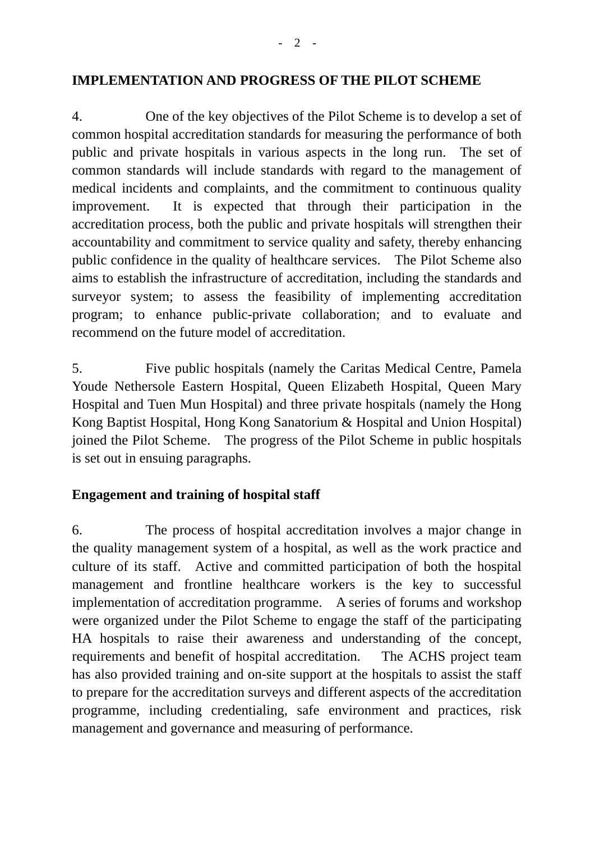#### **IMPLEMENTATION AND PROGRESS OF THE PILOT SCHEME**

4. One of the key objectives of the Pilot Scheme is to develop a set of common hospital accreditation standards for measuring the performance of both public and private hospitals in various aspects in the long run. The set of common standards will include standards with regard to the management of medical incidents and complaints, and the commitment to continuous quality improvement. It is expected that through their participation in the accreditation process, both the public and private hospitals will strengthen their accountability and commitment to service quality and safety, thereby enhancing public confidence in the quality of healthcare services. The Pilot Scheme also aims to establish the infrastructure of accreditation, including the standards and surveyor system; to assess the feasibility of implementing accreditation program; to enhance public-private collaboration; and to evaluate and recommend on the future model of accreditation.

5. Five public hospitals (namely the Caritas Medical Centre, Pamela Youde Nethersole Eastern Hospital, Queen Elizabeth Hospital, Queen Mary Hospital and Tuen Mun Hospital) and three private hospitals (namely the Hong Kong Baptist Hospital, Hong Kong Sanatorium & Hospital and Union Hospital) joined the Pilot Scheme. The progress of the Pilot Scheme in public hospitals is set out in ensuing paragraphs.

# **Engagement and training of hospital staff**

6. The process of hospital accreditation involves a major change in the quality management system of a hospital, as well as the work practice and culture of its staff. Active and committed participation of both the hospital management and frontline healthcare workers is the key to successful implementation of accreditation programme. A series of forums and workshop were organized under the Pilot Scheme to engage the staff of the participating HA hospitals to raise their awareness and understanding of the concept, requirements and benefit of hospital accreditation. The ACHS project team has also provided training and on-site support at the hospitals to assist the staff to prepare for the accreditation surveys and different aspects of the accreditation programme, including credentialing, safe environment and practices, risk management and governance and measuring of performance.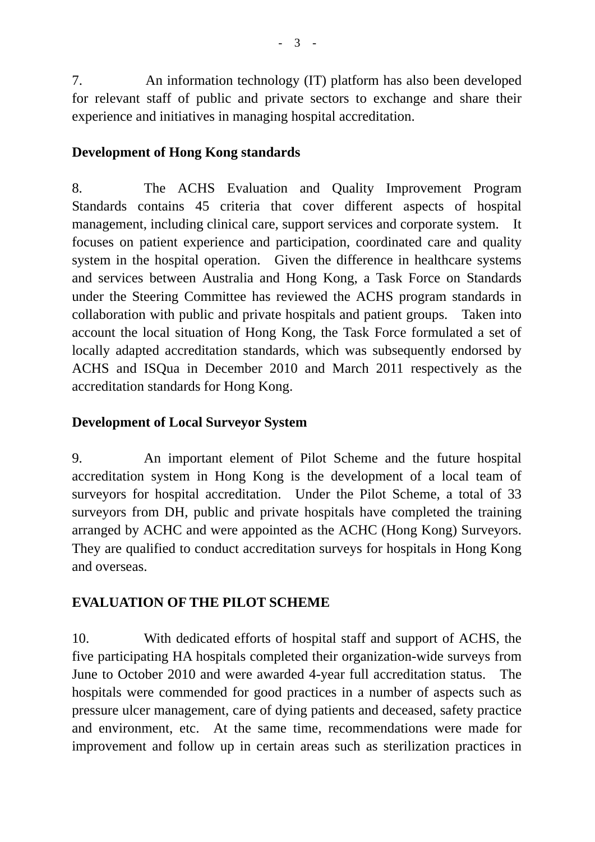7. An information technology (IT) platform has also been developed for relevant staff of public and private sectors to exchange and share their experience and initiatives in managing hospital accreditation.

# **Development of Hong Kong standards**

8. The ACHS Evaluation and Quality Improvement Program Standards contains 45 criteria that cover different aspects of hospital management, including clinical care, support services and corporate system. It focuses on patient experience and participation, coordinated care and quality system in the hospital operation. Given the difference in healthcare systems and services between Australia and Hong Kong, a Task Force on Standards under the Steering Committee has reviewed the ACHS program standards in collaboration with public and private hospitals and patient groups. Taken into account the local situation of Hong Kong, the Task Force formulated a set of locally adapted accreditation standards, which was subsequently endorsed by ACHS and ISQua in December 2010 and March 2011 respectively as the accreditation standards for Hong Kong.

# **Development of Local Surveyor System**

9. An important element of Pilot Scheme and the future hospital accreditation system in Hong Kong is the development of a local team of surveyors for hospital accreditation. Under the Pilot Scheme, a total of 33 surveyors from DH, public and private hospitals have completed the training arranged by ACHC and were appointed as the ACHC (Hong Kong) Surveyors. They are qualified to conduct accreditation surveys for hospitals in Hong Kong and overseas.

# **EVALUATION OF THE PILOT SCHEME**

10. With dedicated efforts of hospital staff and support of ACHS, the five participating HA hospitals completed their organization-wide surveys from June to October 2010 and were awarded 4-year full accreditation status. The hospitals were commended for good practices in a number of aspects such as pressure ulcer management, care of dying patients and deceased, safety practice and environment, etc. At the same time, recommendations were made for improvement and follow up in certain areas such as sterilization practices in